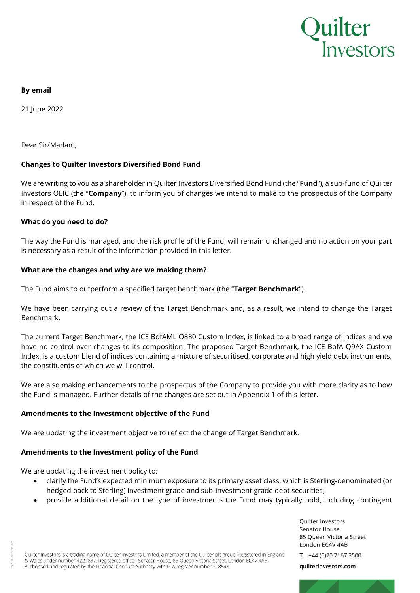

## **By email**

21 June 2022

Dear Sir/Madam,

# **Changes to Quilter Investors Diversified Bond Fund**

We are writing to you as a shareholder in Quilter Investors Diversified Bond Fund (the "**Fund**"), a sub-fund of Quilter Investors OEIC (the "**Company**"), to inform you of changes we intend to make to the prospectus of the Company in respect of the Fund.

## **What do you need to do?**

The way the Fund is managed, and the risk profile of the Fund, will remain unchanged and no action on your part is necessary as a result of the information provided in this letter.

## **What are the changes and why are we making them?**

The Fund aims to outperform a specified target benchmark (the "**Target Benchmark**").

We have been carrying out a review of the Target Benchmark and, as a result, we intend to change the Target Benchmark.

The current Target Benchmark, the ICE BofAML Q880 Custom Index, is linked to a broad range of indices and we have no control over changes to its composition. The proposed Target Benchmark, the ICE BofA Q9AX Custom Index, is a custom blend of indices containing a mixture of securitised, corporate and high yield debt instruments, the constituents of which we will control.

We are also making enhancements to the prospectus of the Company to provide you with more clarity as to how the Fund is managed. Further details of the changes are set out in Appendix 1 of this letter.

## **Amendments to the Investment objective of the Fund**

We are updating the investment objective to reflect the change of Target Benchmark.

## **Amendments to the Investment policy of the Fund**

We are updating the investment policy to:

- clarify the Fund's expected minimum exposure to its primary asset class, which is Sterling-denominated (or hedged back to Sterling) investment grade and sub-investment grade debt securities;
- provide additional detail on the type of investments the Fund may typically hold, including contingent

Quilter Investors is a trading name of Quilter Investors Limited, a member of the Quilter plc group. Registered in England & Wales under number 4227837. Registered office: Senator House, 85 Queen Victoria Street, London EC4V 4AB. Authorised and regulated by the Financial Conduct Authority with FCA register number 208543.

Quilter Investors Senator House 85 Queen Victoria Street London EC4V 4AB

T. +44 (0)20 7167 3500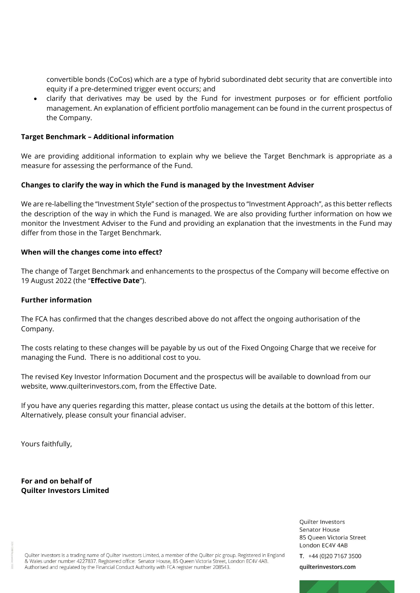convertible bonds (CoCos) which are a type of hybrid subordinated debt security that are convertible into equity if a pre-determined trigger event occurs; and

• clarify that derivatives may be used by the Fund for investment purposes or for efficient portfolio management. An explanation of efficient portfolio management can be found in the current prospectus of the Company.

## **Target Benchmark – Additional information**

We are providing additional information to explain why we believe the Target Benchmark is appropriate as a measure for assessing the performance of the Fund.

# **Changes to clarify the way in which the Fund is managed by the Investment Adviser**

We are re-labelling the "Investment Style" section of the prospectus to "Investment Approach", as this better reflects the description of the way in which the Fund is managed. We are also providing further information on how we monitor the Investment Adviser to the Fund and providing an explanation that the investments in the Fund may differ from those in the Target Benchmark.

## **When will the changes come into effect?**

The change of Target Benchmark and enhancements to the prospectus of the Company will become effective on 19 August 2022 (the "**Effective Date**").

## **Further information**

The FCA has confirmed that the changes described above do not affect the ongoing authorisation of the Company.

The costs relating to these changes will be payable by us out of the Fixed Ongoing Charge that we receive for managing the Fund. There is no additional cost to you.

The revised Key Investor Information Document and the prospectus will be available to download from our website, www.quilterinvestors.com, from the Effective Date.

If you have any queries regarding this matter, please contact us using the details at the bottom of this letter. Alternatively, please consult your financial adviser.

Yours faithfully,

**For and on behalf of Quilter Investors Limited**

> Quilter Investors **Senator House** 85 Queen Victoria Street London EC4V 4AB

T. +44 (0)20 7167 3500

Quilter Investors is a trading name of Quilter Investors Limited, a member of the Quilter plc group. Registered in England & Wales under number 4227837. Registered office: Senator House, 85 Queen Victoria Street, London EC4V 4AB. Authorised and regulated by the Financial Conduct Authority with FCA register number 208543.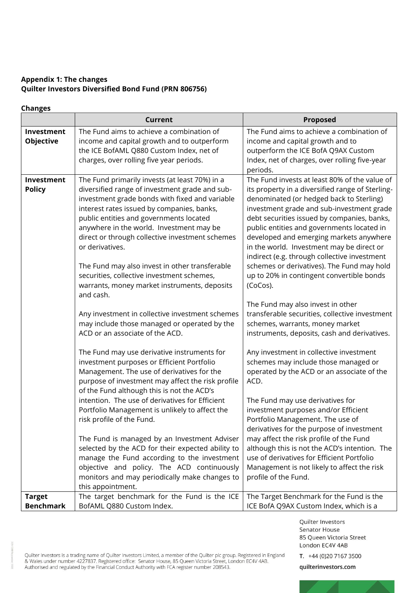# **Appendix 1: The changes Quilter Investors Diversified Bond Fund (PRN 806756)**

## **Changes**

|                                   | <b>Current</b>                                                                                                                                                                                                                                                                                                                                                | <b>Proposed</b>                                                                                                                                                                                                                                                                                                                                                                 |
|-----------------------------------|---------------------------------------------------------------------------------------------------------------------------------------------------------------------------------------------------------------------------------------------------------------------------------------------------------------------------------------------------------------|---------------------------------------------------------------------------------------------------------------------------------------------------------------------------------------------------------------------------------------------------------------------------------------------------------------------------------------------------------------------------------|
| Investment<br>Objective           | The Fund aims to achieve a combination of<br>income and capital growth and to outperform<br>the ICE BofAML Q880 Custom Index, net of<br>charges, over rolling five year periods.                                                                                                                                                                              | The Fund aims to achieve a combination of<br>income and capital growth and to<br>outperform the ICE BofA Q9AX Custom<br>Index, net of charges, over rolling five-year                                                                                                                                                                                                           |
|                                   |                                                                                                                                                                                                                                                                                                                                                               | periods.                                                                                                                                                                                                                                                                                                                                                                        |
| Investment<br><b>Policy</b>       | The Fund primarily invests (at least 70%) in a<br>diversified range of investment grade and sub-<br>investment grade bonds with fixed and variable<br>interest rates issued by companies, banks,<br>public entities and governments located<br>anywhere in the world. Investment may be<br>direct or through collective investment schemes<br>or derivatives. | The Fund invests at least 80% of the value of<br>its property in a diversified range of Sterling-<br>denominated (or hedged back to Sterling)<br>investment grade and sub-investment grade<br>debt securities issued by companies, banks,<br>public entities and governments located in<br>developed and emerging markets anywhere<br>in the world. Investment may be direct or |
|                                   | The Fund may also invest in other transferable<br>securities, collective investment schemes,<br>warrants, money market instruments, deposits<br>and cash.                                                                                                                                                                                                     | indirect (e.g. through collective investment<br>schemes or derivatives). The Fund may hold<br>up to 20% in contingent convertible bonds<br>(CoCos).                                                                                                                                                                                                                             |
|                                   | Any investment in collective investment schemes<br>may include those managed or operated by the<br>ACD or an associate of the ACD.                                                                                                                                                                                                                            | The Fund may also invest in other<br>transferable securities, collective investment<br>schemes, warrants, money market<br>instruments, deposits, cash and derivatives.                                                                                                                                                                                                          |
|                                   | The Fund may use derivative instruments for<br>investment purposes or Efficient Portfolio<br>Management. The use of derivatives for the<br>purpose of investment may affect the risk profile<br>of the Fund although this is not the ACD's                                                                                                                    | Any investment in collective investment<br>schemes may include those managed or<br>operated by the ACD or an associate of the<br>ACD.                                                                                                                                                                                                                                           |
|                                   | intention. The use of derivatives for Efficient<br>Portfolio Management is unlikely to affect the<br>risk profile of the Fund.                                                                                                                                                                                                                                | The Fund may use derivatives for<br>investment purposes and/or Efficient<br>Portfolio Management. The use of<br>derivatives for the purpose of investment                                                                                                                                                                                                                       |
|                                   | The Fund is managed by an Investment Adviser<br>selected by the ACD for their expected ability to<br>manage the Fund according to the investment<br>objective and policy. The ACD continuously<br>monitors and may periodically make changes to                                                                                                               | may affect the risk profile of the Fund<br>although this is not the ACD's intention. The<br>use of derivatives for Efficient Portfolio<br>Management is not likely to affect the risk<br>profile of the Fund.                                                                                                                                                                   |
|                                   | this appointment.                                                                                                                                                                                                                                                                                                                                             |                                                                                                                                                                                                                                                                                                                                                                                 |
| <b>Target</b><br><b>Benchmark</b> | The target benchmark for the Fund is the ICE<br>BofAML Q880 Custom Index.                                                                                                                                                                                                                                                                                     | The Target Benchmark for the Fund is the<br>ICE BofA Q9AX Custom Index, which is a                                                                                                                                                                                                                                                                                              |

Quilter Investors Senator House 85 Queen Victoria Street London EC4V 4AB

Quilter Investors is a trading name of Quilter Investors Limited, a member of the Quilter plc group. Registered in England<br>& Wales under number 4227837. Registered office: Senator House, 85 Queen Victoria Street, London E

T. +44 (0)20 7167 3500